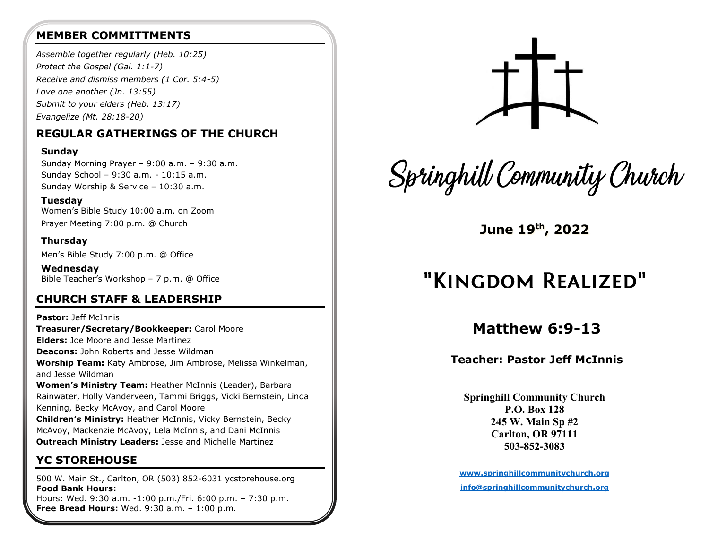### **MEMBER COMMITTMENTS**

*Assemble together regularly (Heb. 10:25) Protect the Gospel (Gal. 1:1-7) Receive and dismiss members (1 Cor. 5:4-5) Love one another (Jn. 13:55) Submit to your elders (Heb. 13:17) Evangelize (Mt. 28:18-20)*

### **REGULAR GATHERINGS OF THE CHURCH**

### **Sunday**

Sunday Morning Prayer – 9:00 a.m. – 9:30 a.m. Sunday School – 9:30 a.m. - 10:15 a.m. Sunday Worship & Service – 10:30 a.m.

**Tuesday** Women's Bible Study 10:00 a.m. on Zoom Prayer Meeting 7:00 p.m. @ Church

**Thursday** Men's Bible Study 7:00 p.m. @ Office

**Wednesday** Bible Teacher's Workshop – 7 p.m. @ Office

### **CHURCH STAFF & LEADERSHIP**

**Pastor:** Jeff McInnis **Treasurer/Secretary/Bookkeeper:** Carol Moore **Elders:** Joe Moore and Jesse Martinez **Deacons:** John Roberts and Jesse Wildman **Worship Team:** Katy Ambrose, Jim Ambrose, Melissa Winkelman, and Jesse Wildman **Women's Ministry Team:** Heather McInnis (Leader), Barbara Rainwater, Holly Vanderveen, Tammi Briggs, Vicki Bernstein, Linda Kenning, Becky McAvoy, and Carol Moore **Children's Ministry:** Heather McInnis, Vicky Bernstein, Becky McAvoy, Mackenzie McAvoy, Lela McInnis, and Dani McInnis

**Outreach Ministry Leaders:** Jesse and Michelle Martinez

### **YC STOREHOUSE**

500 W. Main St., Carlton, OR (503) 852-6031 ycstorehouse.org **Food Bank Hours:** Hours: Wed. 9:30 a.m. -1:00 p.m./Fri. 6:00 p.m. – 7:30 p.m. **Free Bread Hours:** Wed. 9:30 a.m. – 1:00 p.m.



Springhill Community Church

**June 19 th, 2022**

# "KINGDOM REALIZED"

**Matthew 6:9-13**

### **Teacher: Pastor Jeff McInnis**

**Springhill Community Church P.O. Box 128 245 W. Main Sp #2 Carlton, OR 97111 503-852-3083**

**[www.springhillcommunitychurch.org](https://www.springhillcommunitychurch.org/) [info@springhillcommunitychurch.org](mailto:info@springhillcommunitychurch.org)**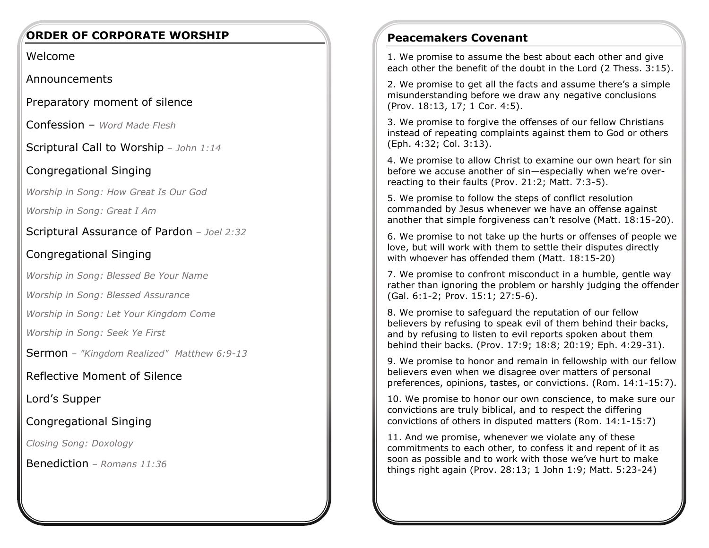### **ORDER OF CORPORATE WORSHIP**

Welcome

Announcements

Preparatory moment of silence

Confession – *Word Made Flesh*

Scriptural Call to Worship *– John 1:14*

### Congregational Singing

*Worship in Song: How Great Is Our God*

*Worship in Song : Great I Am*

Scriptural Assurance of Pardon *– Joel 2:32*

### Congregational Singing

*Worship in Song: Blessed Be Your Nam e*

*Worship in Song: Blessed Assurance*

*Worship in Song: Let Your Kingdom Come*

*Worship in Song: Seek Ye First*

Sermon *– "Kingdom Realized" Matthew 6:9 -13*

Reflective Moment of Silence

Lord's Supper

### Congregational Singing

*Closing Song: Doxology*

Benediction *– Romans 11:36*

### **Peacemakers Covenant**

1. We promise to assume the best about each other and give each other the benefit of the doubt in the Lord (2 Thess. 3:15).

2. We promise to get all the facts and assume there's a simple misunderstanding before we draw any negative conclusions (Prov. 18:13, 17; 1 Cor. 4:5).

3. We promise to forgive the offenses of our fellow Christians instead of repeating complaints against them to God or others (Eph. 4:32; Col. 3:13).

4. We promise to allow Christ to examine our own heart for sin before we accuse another of sin —especially when we're over reacting to their faults (Prov. 21:2; Matt. 7:3 -5).

5. We promise to follow the steps of conflict resolution commanded by Jesus whenever we have an offense against another that simple forgiveness can't resolve (Matt. 18:15 -20).

6. We promise to not take up the hurts or offenses of people we love, but will work with them to settle their disputes directly with whoever has offended them (Matt. 18:15 -20)

7. We promise to confront misconduct in a humble, gentle way rather than ignoring the problem or harshly judging the offender (Gal. 6:1 -2; Prov. 15:1; 27:5 -6).

8. We promise to safeguard the reputation of our fellow believers by refusing to speak evil of them behind their backs, and by refusing to listen to evil reports spoken about them behind their backs. (Prov. 17:9; 18:8; 20:19; Eph. 4:29 -31).

9. We promise to honor and remain in fellowship with our fellow believers even when we disagree over matters of personal preferences, opinions, tastes, or convictions. (Rom. 14:1 -15:7).

10. We promise to honor our own conscience, to make sure our convictions are truly biblical, and to respect the differing convictions of others in disputed matters (Rom. 14:1 -15:7)

11. And we promise, whenever we violate any of these commitments to each other, to confess it and repent of it as soon as possible and to work with those we've hurt to make things right again (Prov. 28:13; 1 John 1:9; Matt. 5:23 -24)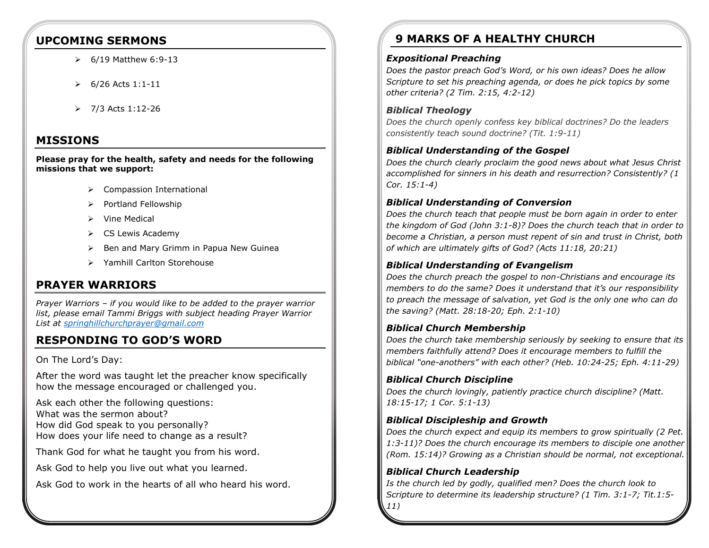### **UPCOMING SERMONS**

- $\geqslant$  6/19 Matthew 6:9-13
- $\ge$  6/26 Acts 1:1-11
- ➢ 7/3 Acts 1:12-26

### **MISSIONS**

**Please pray for the health, safety and needs for the following missions that we support:**

- ➢ Compassion International
- ➢ Portland Fellowship
- ➢ Vine Medical
- ➢ CS Lewis Academy
- ➢ Ben and Mary Grimm in Papua New Guinea
- ➢ Yamhill Carlton Storehouse

### **PRAYER WARRIORS**

*Prayer Warriors – if you would like to be added to the prayer warrior list, please email Tammi Briggs with subject heading Prayer Warrior List at [springhillchurchprayer@gmail.com](mailto:springhillchurchprayer@gmail.com)*

### **RESPONDING TO GOD'S WORD**

#### On The Lord's Day:

After the word was taught let the preacher know specifically how the message encouraged or challenged you.

Ask each other the following questions: What was the sermon about? How did God speak to you personally? How does your life need to change as a result?

Thank God for what he taught you from his word.

Ask God to help you live out what you learned.

Ask God to work in the hearts of all who heard his word.

### **9 MARKS OF A HEALTHY CHURCH**

#### *Expositional Preaching*

*Does the pastor preach God's Word, or his own ideas? Does he allow Scripture to set his preaching agenda, or does he pick topics by some other criteria? (2 Tim. 2:15, 4:2-12)*

### *Biblical Theology*

*Does the church openly confess key biblical doctrines? Do the leaders consistently teach sound doctrine? (Tit. 1:9-11)*

### *Biblical Understanding of the Gospel*

*Does the church clearly proclaim the good news about what Jesus Christ accomplished for sinners in his death and resurrection? Consistently? (1 Cor. 15:1-4)*

### *Biblical Understanding of Conversion*

*Does the church teach that people must be born again in order to enter the kingdom of God (John 3:1-8)? Does the church teach that in order to become a Christian, a person must repent of sin and trust in Christ, both of which are ultimately gifts of God? (Acts 11:18, 20:21)*

### *Biblical Understanding of Evangelism*

*Does the church preach the gospel to non-Christians and encourage its members to do the same? Does it understand that it's our responsibility to preach the message of salvation, yet God is the only one who can do the saving? (Matt. 28:18-20; Eph. 2:1-10)*

### *Biblical Church Membership*

*Does the church take membership seriously by seeking to ensure that its members faithfully attend? Does it encourage members to fulfill the biblical "one-anothers" with each other? (Heb. 10:24-25; Eph. 4:11-29)*

### *Biblical Church Discipline*

*Does the church lovingly, patiently practice church discipline? (Matt. 18:15-17; 1 Cor. 5:1-13)*

### *Biblical Discipleship and Growth*

*Does the church expect and equip its members to grow spiritually (2 Pet. 1:3-11)? Does the church encourage its members to disciple one another (Rom. 15:14)? Growing as a Christian should be normal, not exceptional.*

### *Biblical Church Leadership*

*Is the church led by godly, qualified men? Does the church look to Scripture to determine its leadership structure? (1 Tim. 3:1-7; Tit.1:5- 11)*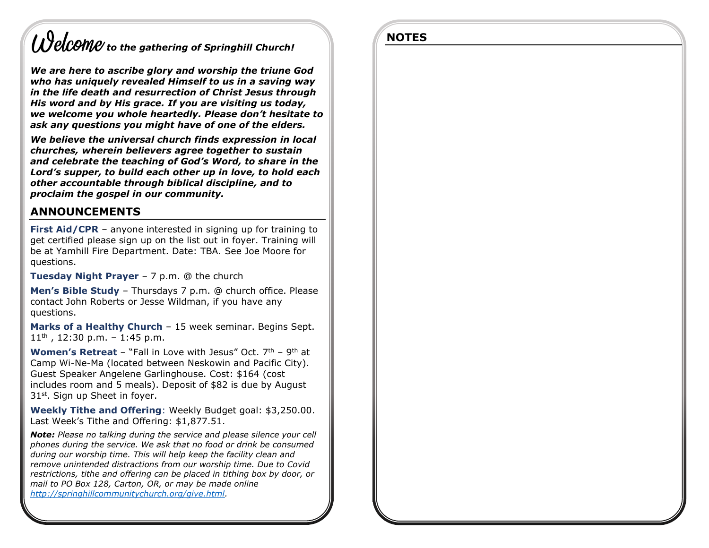# $\mathcal{H}\mathcal{H}$ *to the gathering of Springhill Church!*

*We are here to ascribe glory and worship the triune God who has uniquely revealed Himself to us in a saving way in the life death and resurrection of Christ Jesus through His word and by His grace. If you are visiting us today, we welcome you whole heartedly. Please don't hesitate to ask any questions you might have of one of the elders.*

*We believe the universal church finds expression in local churches, wherein believers agree together to sustain and celebrate the teaching of God's Word, to share in the Lord's supper, to build each other up in love, to hold each other accountable through biblical discipline, and to proclaim the gospel in our community.*

### **ANNOUNCEMENTS**

**First Aid/CPR** – anyone interested in signing up for training to get certified please sign up on the list out in foyer. Training will be at Yamhill Fire Department. Date: TBA. See Joe Moore for questions.

**Tuesday Night Prayer** – 7 p.m. @ the church

**Men's Bible Study** – Thursdays 7 p.m. @ church office. Please contact John Roberts or Jesse Wildman, if you have any questions.

**Marks of a Healthy Church** – 15 week seminar. Begins Sept.  $11<sup>th</sup>$ , 12:30 p.m. - 1:45 p.m.

**Women's Retreat - "Fall in Love with Jesus" Oct. 7th - 9th at** Camp Wi-Ne-Ma (located between Neskowin and Pacific City). Guest Speaker Angelene Garlinghouse. Cost: \$164 (cost includes room and 5 meals). Deposit of \$82 is due by August 31<sup>st</sup>. Sign up Sheet in foyer.

**Weekly Tithe and Offering**: Weekly Budget goal: \$3,250.00. Last Week's Tithe and Offering: \$1,877.51.

*Note: Please no talking during the service and please silence your cell phones during the service. We ask that no food or drink be consumed during our worship time. This will help keep the facility clean and remove unintended distractions from our worship time. Due to Covid restrictions, tithe and offering can be placed in tithing box by door, or mail to PO Box 128, Carton, OR, or may be made online [http://springhillcommunitychurch.org/give.html.](http://springhillcommunitychurch.org/give.html)*

### **NOTES**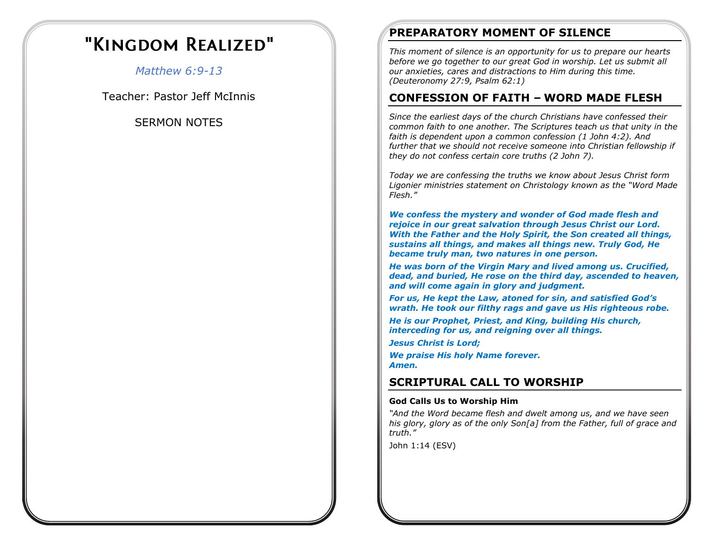## "KINGDOM REALIZED"

### *Matthew 6:9-13*

Teacher: Pastor Jeff McInnis

SERMON NOTES

### **PREPARATORY MOMENT OF SILENCE**

*This moment of silence is an opportunity for us to prepare our hearts before we go together to our great God in worship. Let us submit all our anxieties, cares and distractions to Him during this time. (Deuteronomy 27:9, Psalm 62:1)*

### **CONFESSION OF FAITH – WORD MADE FLESH**

*Since the earliest days of the church Christians have confessed their common faith to one another. The Scriptures teach us that unity in the faith is dependent upon a common confession (1 John 4:2). And further that we should not receive someone into Christian fellowship if they do not confess certain core truths (2 John 7).*

*Today we are confessing the truths we know about Jesus Christ form Ligonier ministries statement on Christology known as the "Word Made Flesh."*

*We confess the mystery and wonder of God made flesh and rejoice in our great salvation through Jesus Christ our Lord. With the Father and the Holy Spirit, the Son created all things, sustains all things, and makes all things new. Truly God, He became truly man, two natures in one person.*

*He was born of the Virgin Mary and lived among us. Crucified, dead, and buried, He rose on the third day, ascended to heaven, and will come again in glory and judgment.*

*For us, He kept the Law, atoned for sin, and satisfied God's wrath. He took our filthy rags and gave us His righteous robe.*

*He is our Prophet, Priest, and King, building His church, interceding for us, and reigning over all things.*

*Jesus Christ is Lord;*

*We praise His holy Name forever. Amen.*

### **SCRIPTURAL CALL TO WORSHIP**

#### **God Calls Us to Worship Him**

*"And the Word became flesh and dwelt among us, and we have seen his glory, glory as of the only Son[a] from the Father, full of grace and truth."*

John 1:14 (ESV)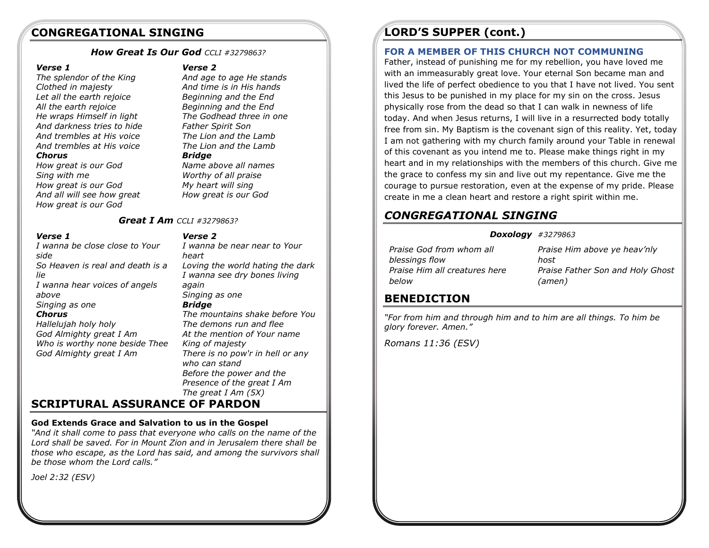### **CONGREGATIONAL SINGING**

#### *How Great Is Our God CCLI #3279863?*

#### *Verse 1*

*The splendor of the King Clothed in majesty Let all the earth rejoice All the earth rejoice He wraps Himself in light And darkness tries to hide And trembles at His voice And trembles at His voice Chorus*

*How great is our God Sing with me How great is our God And all will see how great How great is our God*

#### *Verse 2*

*And age to age He stands And time is in His hands Beginning and the End Beginning and the End The Godhead three in one Father Spirit Son The Lion and the Lamb The Lion and the Lamb Bridge Name above all names*

*Worthy of all praise My heart will sing How great is our God*

#### *Great I Am CCLI #3279863?*

#### *Verse 1*

*I wanna be close close to Your side So Heaven is real and death is a lie I wanna hear voices of angels above Singing as one Chorus Hallelujah holy holy God Almighty great I Am Who is worthy none beside Thee God Almighty great I Am*

#### *Verse 2*

*I wanna be near near to Your heart Loving the world hating the dark I wanna see dry bones living again Singing as one Bridge The mountains shake before You The demons run and flee At the mention of Your name King of majesty There is no pow'r in hell or any who can stand Before the power and the Presence of the great I Am The great I Am (5X)*

### **SCRIPTURAL ASSURANCE OF PARDON**

#### **God Extends Grace and Salvation to us in the Gospel**

*"And it shall come to pass that everyone who calls on the name of the Lord shall be saved. For in Mount Zion and in Jerusalem there shall be those who escape, as the Lord has said, and among the survivors shall be those whom the Lord calls."*

*Joel 2:32 (ESV)*

### **LORD'S SUPPER (cont.)**

#### **FOR A MEMBER OF THIS CHURCH NOT COMMUNING**

Father, instead of punishing me for my rebellion, you have loved me with an immeasurably great love. Your eternal Son became man and lived the life of perfect obedience to you that I have not lived. You sent this Jesus to be punished in my place for my sin on the cross. Jesus physically rose from the dead so that I can walk in newness of life today. And when Jesus returns, I will live in a resurrected body totally free from sin. My Baptism is the covenant sign of this reality. Yet, today I am not gathering with my church family around your Table in renewal of this covenant as you intend me to. Please make things right in my heart and in my relationships with the members of this church. Give me the grace to confess my sin and live out my repentance. Give me the courage to pursue restoration, even at the expense of my pride. Please create in me a clean heart and restore a right spirit within me.

### *CONGREGATIONAL SINGING*

#### *Doxology #3279863*

*Praise God from whom all blessings flow Praise Him all creatures here below*

*Praise Him above ye heav'nly host Praise Father Son and Holy Ghost (amen)*

### **BENEDICTION**

*"For from him and through him and to him are all things. To him be glory forever. Amen."*

*Romans 11:36 (ESV)*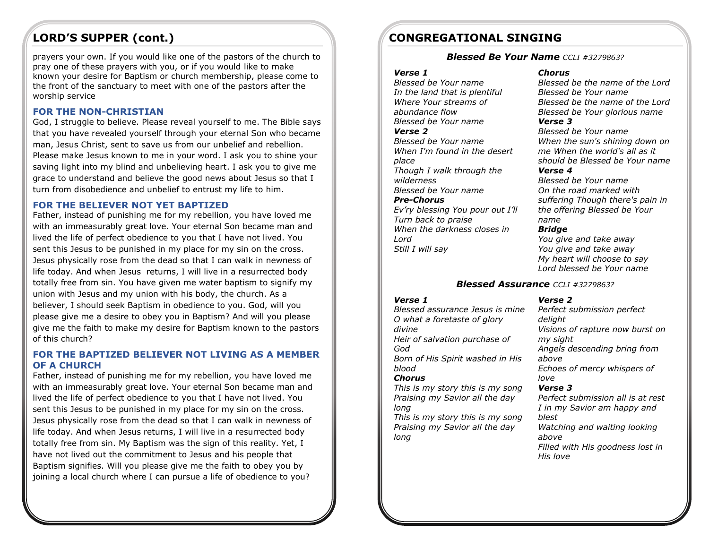### **LORD'S SUPPER (cont.)**

prayers your own. If you would like one of the pastors of the church to pray one of these prayers with you, or if you would like to make known your desire for Baptism or church membership, please come to the front of the sanctuary to meet with one of the pastors after the worship service

### **FOR THE NON-CHRISTIAN**

God, I struggle to believe. Please reveal yourself to me. The Bible says that you have revealed yourself through your eternal Son who became man, Jesus Christ, sent to save us from our unbelief and rebellion. Please make Jesus known to me in your word. I ask you to shine your saving light into my blind and unbelieving heart. I ask you to give me grace to understand and believe the good news about Jesus so that I turn from disobedience and unbelief to entrust my life to him.

### **FOR THE BELIEVER NOT YET BAPTIZED**

Father, instead of punishing me for my rebellion, you have loved me with an immeasurably great love. Your eternal Son became man and lived the life of perfect obedience to you that I have not lived. You sent this Jesus to be punished in my place for my sin on the cross. Jesus physically rose from the dead so that I can walk in newness of life today. And when Jesus returns, I will live in a resurrected body totally free from sin. You have given me water baptism to signify my union with Jesus and my union with his body, the church. As a believer, I should seek Baptism in obedience to you. God, will you please give me a desire to obey you in Baptism? And will you please give me the faith to make my desire for Baptism known to the pastors of this church?

### **FOR THE BAPTIZED BELIEVER NOT LIVING AS A MEMBER OF A CHURCH**

Father, instead of punishing me for my rebellion, you have loved me with an immeasurably great love. Your eternal Son became man and lived the life of perfect obedience to you that I have not lived. You sent this Jesus to be punished in my place for my sin on the cross. Jesus physically rose from the dead so that I can walk in newness of life today. And when Jesus returns, I will live in a resurrected body totally free from sin. My Baptism was the sign of this reality. Yet, I have not lived out the commitment to Jesus and his people that Baptism signifies. Will you please give me the faith to obey you by joining a local church where I can pursue a life of obedience to you?

### **CONGREGATIONAL SINGING**

### *Blessed Be Your Name CCLI #3279863?*

#### *Verse 1*

*Blessed be Your name In the land that is plentiful Where Your streams of abundance flow Blessed be Your name Verse 2 Blessed be Your name When I'm found in the desert place Though I walk through the wilderness Blessed be Your name*

#### *Pre-Chorus*

*Ev'ry blessing You pour out I'll Turn back to praise When the darkness closes in Lord Still I will say*

#### *Chorus*

*Blessed be the name of the Lord Blessed be Your name Blessed be the name of the Lord Blessed be Your glorious name Verse 3*

*Blessed be Your name When the sun's shining down on me When the world's all as it should be Blessed be Your name Verse 4*

*Blessed be Your name On the road marked with suffering Though there's pain in the offering Blessed be Your name*

#### *Bridge*

*You give and take away You give and take away My heart will choose to say Lord blessed be Your name*

#### *Blessed Assurance CCLI #3279863?*

### *Verse 1*

*Blessed assurance Jesus is mine Heir of salvation purchase of Born of His Spirit washed in His* 

#### *Verse 2*

*Perfect submission perfect delight Visions of rapture now burst on my sight Angels descending bring from above Echoes of mercy whispers of love Verse 3 Perfect submission all is at rest I in my Savior am happy and blest Watching and waiting looking above Filled with His goodness lost in His love*

## *O what a foretaste of glory divine God blood*

### *Chorus*

*This is my story this is my song Praising my Savior all the day long*

*This is my story this is my song Praising my Savior all the day long*